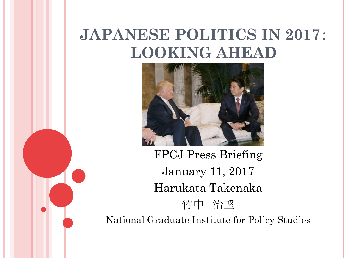# **JAPANESE POLITICS IN 2017**: **LOOKING AHEAD**



FPCJ Press Briefing January 11, 2017 Harukata Takenaka 竹中 治堅 National Graduate Institute for Policy Studies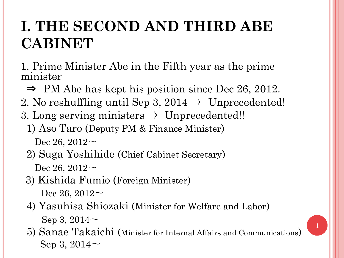### **I. THE SECOND AND THIRD ABE CABINET**

1. Prime Minister Abe in the Fifth year as the prime minister

- $\Rightarrow$  PM Abe has kept his position since Dec 26, 2012.
- 2. No reshuffling until Sep 3,  $2014 \Rightarrow$  Unprecedented!
- 3. Long serving ministers  $\Rightarrow$  Unprecedented!!
	- 1) Aso Taro (Deputy PM & Finance Minister) Dec 26,  $2012$  ~
	- 2) Suga Yoshihide (Chief Cabinet Secretary) Dec 26,  $2012$  ~
	- 3) Kishida Fumio (Foreign Minister) Dec 26,  $2012$  ~
	- 4) Yasuhisa Shiozaki (Minister for Welfare and Labor) Sep 3, 2014〜
	- 5) Sanae Takaichi (Minister for Internal Affairs and Communications) Sep 3, 2014〜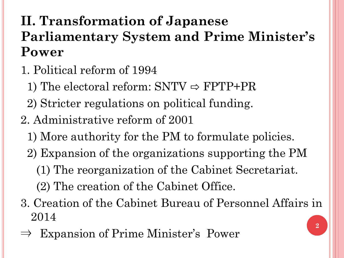#### **II. Transformation of Japanese Parliamentary System and Prime Minister's Power**

- 1. Political reform of 1994
	- 1) The electoral reform:  $SNTV \Rightarrow FPTP+PR$
	- 2) Stricter regulations on political funding.
- 2. Administrative reform of 2001
	- 1) More authority for the PM to formulate policies.
	- 2) Expansion of the organizations supporting the PM
		- (1) The reorganization of the Cabinet Secretariat.
		- (2) The creation of the Cabinet Office.
- 3. Creation of the Cabinet Bureau of Personnel Affairs in 2014
- Expansion of Prime Minister's Power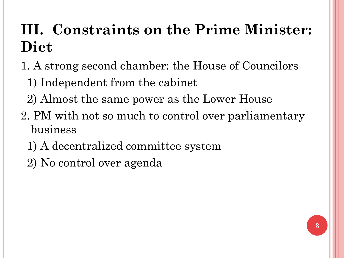# **III. Constraints on the Prime Minister: Diet**

- 1. A strong second chamber: the House of Councilors
	- 1) Independent from the cabinet
	- 2) Almost the same power as the Lower House
- 2. PM with not so much to control over parliamentary business
	- 1) A decentralized committee system
	- 2) No control over agenda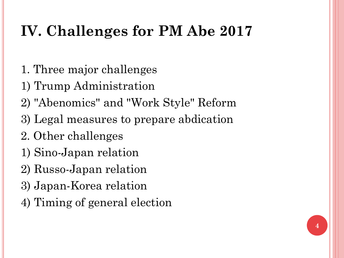# **IV. Challenges for PM Abe 2017**

- 1. Three major challenges
- 1) Trump Administration
- 2) "Abenomics" and "Work Style" Reform
- 3) Legal measures to prepare abdication
- 2. Other challenges
- 1) Sino-Japan relation
- 2) Russo-Japan relation
- 3) Japan-Korea relation
- 4) Timing of general election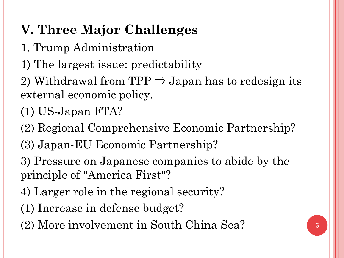#### **V. Three Major Challenges**

- 1. Trump Administration
- 1) The largest issue: predictability
- 2) Withdrawal from  $TPP \Rightarrow Japan$  has to redesign its external economic policy.
- (1) US-Japan FTA?
- (2) Regional Comprehensive Economic Partnership?
- (3) Japan-EU Economic Partnership?
- 3) Pressure on Japanese companies to abide by the principle of "America First"?
- 4) Larger role in the regional security?
- (1) Increase in defense budget?
- (2) More involvement in South China Sea? **<sup>5</sup>**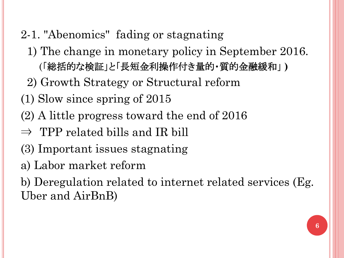- 2-1. "Abenomics" fading or stagnating
	- 1) The change in monetary policy in September 2016. (「総括的な検証」と「長短金利操作付き量的・質的金融緩和」 **)**
	- 2) Growth Strategy or Structural reform
- (1) Slow since spring of 2015
- (2) A little progress toward the end of 2016
- $\Rightarrow$  TPP related bills and IR bill
- (3) Important issues stagnating
- a) Labor market reform
- b) Deregulation related to internet related services (Eg. Uber and AirBnB)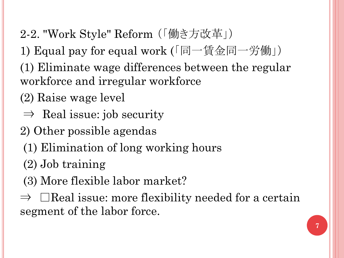- 2-2. "Work Style" Reform (「働き方改革」)
- 1) Equal pay for equal work (「同一賃金同一労働」)
- (1) Eliminate wage differences between the regular workforce and irregular workforce
- (2) Raise wage level
- $\Rightarrow$  Real issue: job security
- 2) Other possible agendas
	- (1) Elimination of long working hours
	- (2) Job training
	- (3) More flexible labor market?
- $\Rightarrow$   $\Box$ Real issue: more flexibility needed for a certain segment of the labor force.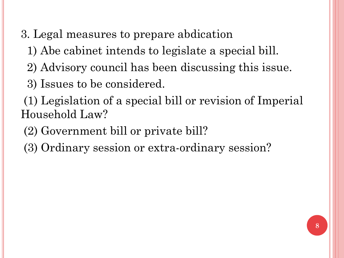- 3. Legal measures to prepare abdication
	- 1) Abe cabinet intends to legislate a special bill.
	- 2) Advisory council has been discussing this issue.
	- 3) Issues to be considered.

(1) Legislation of a special bill or revision of Imperial Household Law?

- (2) Government bill or private bill?
- (3) Ordinary session or extra-ordinary session?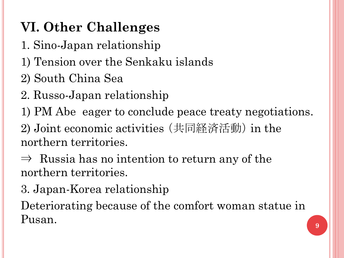### **VI. Other Challenges**

- 1. Sino-Japan relationship
- 1) Tension over the Senkaku islands
- 2) South China Sea
- 2. Russo-Japan relationship
- 1) PM Abe eager to conclude peace treaty negotiations.
- 2) Joint economic activities (共同経済活動) in the northern territories.
- $\Rightarrow$  Russia has no intention to return any of the northern territories.
- 3. Japan-Korea relationship

Deteriorating because of the comfort woman statue in Pusan.